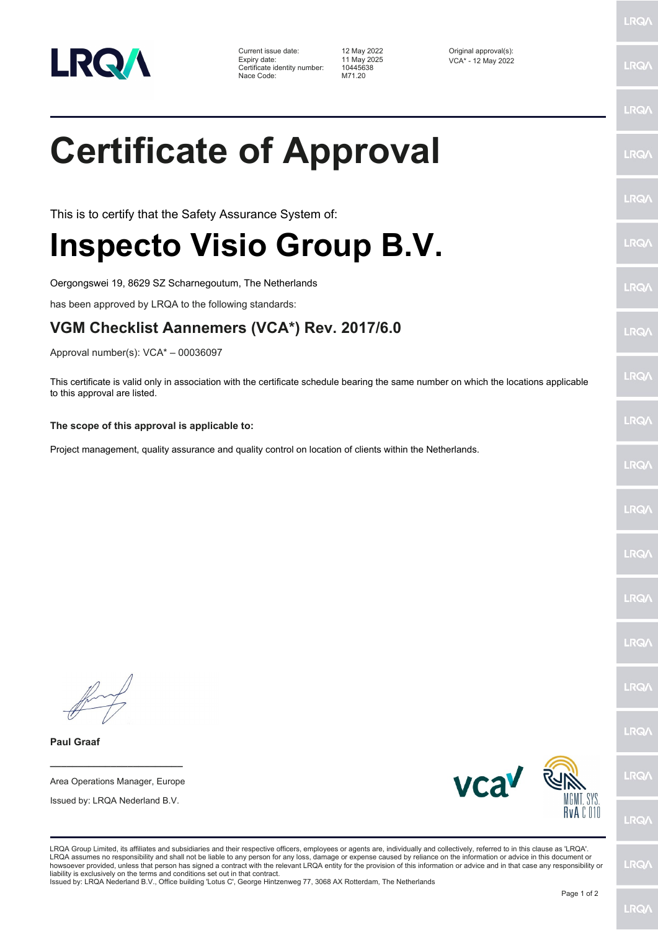

Current issue date: 12 May 2022<br>
Expiry date: 11 May 2025<br>
12 May 2025<br>
CCA\* - 12 May 2025 Expiry date: 11 May 2025<br>
Certificate identity number: 10445638 Certificate identity number: 104456<br>Nace Code: M71.20 Nace Code:

LRQ/

LRQ/

LRQ/

LRQ/

LRQ/

LRQ/

**LRQ/** 

LRQ/

**LRQA** 

LRQ/

LRQ/

LRQ/

LRQ/

**LRQ/** 

LRQ/

LRQ/

LRQ/

**LRQ/** 

## **Certificate of Approval**

This is to certify that the Safety Assurance System of:

## **Inspecto Visio Group B.V.**

Oergongswei 19, 8629 SZ Scharnegoutum, The Netherlands

has been approved by LRQA to the following standards:

## **VGM Checklist Aannemers (VCA\*) Rev. 2017/6.0**

Approval number(s): VCA\* – 00036097

This certificate is valid only in association with the certificate schedule bearing the same number on which the locations applicable to this approval are listed.

**The scope of this approval is applicable to:**

Project management, quality assurance and quality control on location of clients within the Netherlands.

**Paul Graaf**

**\_\_\_\_\_\_\_\_\_\_\_\_\_\_\_\_\_\_\_\_\_\_\_\_** Area Operations Manager, Europe

Issued by: LRQA Nederland B.V.



**LRQ/** 

LRQA assumes no responsibility and shall not be liable to any person for any loss, damage or expense caused by reliance on the information or advice in this document or<br>howsoever provided, unless that person has signed a c LRQ/

liability is exclusively on the terms and conditions set out in that contract. Issued by: LRQA Nederland B.V., Office building 'Lotus C', George Hintzenweg 77, 3068 AX Rotterdam, The Netherlands

LRQA Group Limited, its affiliates and subsidiaries and their respective officers, employees or agents are, individually and collectively, referred to in this clause as 'LRQA'.